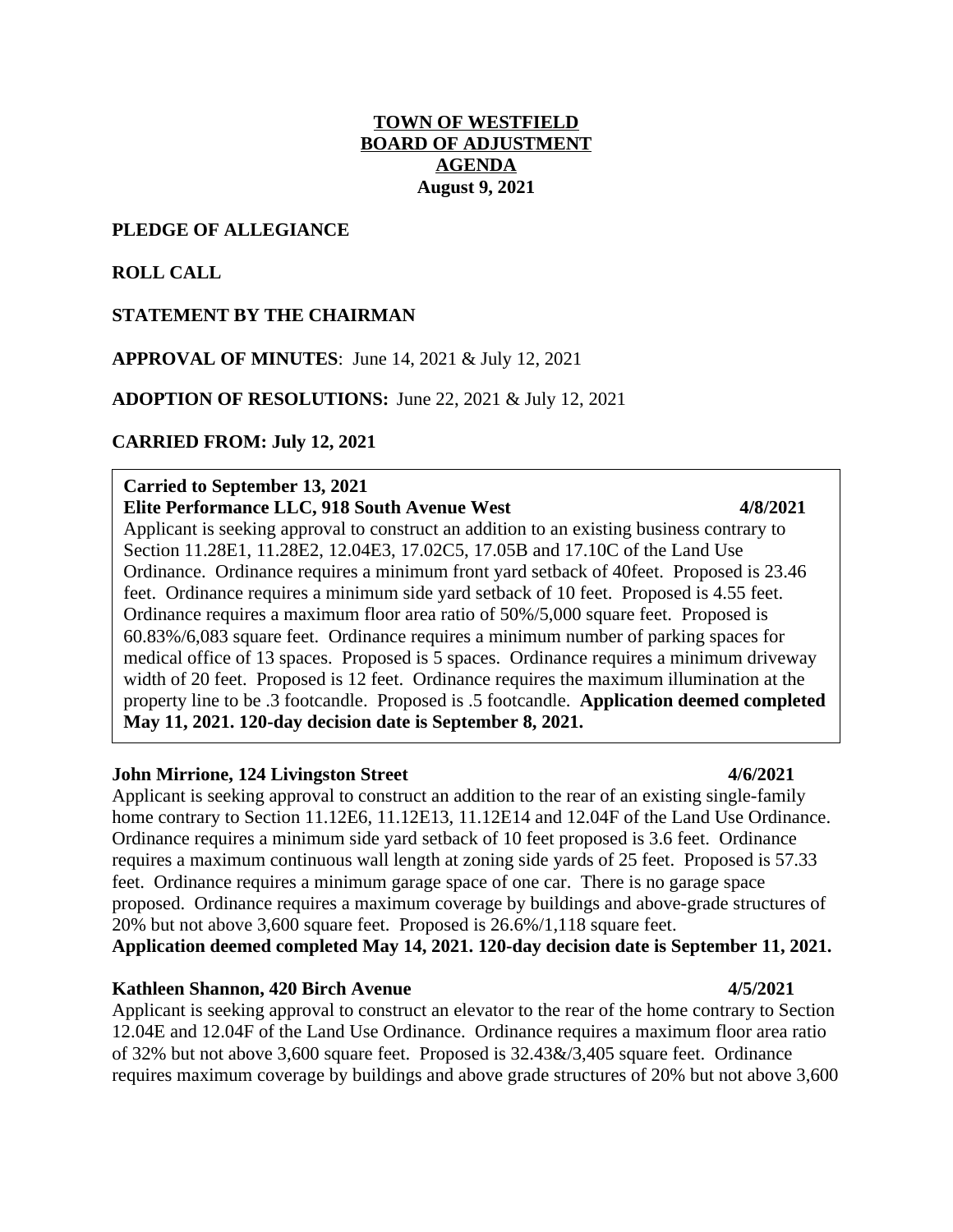## **TOWN OF WESTFIELD BOARD OF ADJUSTMENT AGENDA August 9, 2021**

### **PLEDGE OF ALLEGIANCE**

## **ROLL CALL**

## **STATEMENT BY THE CHAIRMAN**

## **APPROVAL OF MINUTES**: June 14, 2021 & July 12, 2021

**ADOPTION OF RESOLUTIONS:** June 22, 2021 & July 12, 2021

### **CARRIED FROM: July 12, 2021**

### **Carried to September 13, 2021 Elite Performance LLC, 918 South Avenue West 4/8/2021**

Applicant is seeking approval to construct an addition to an existing business contrary to Section 11.28E1, 11.28E2, 12.04E3, 17.02C5, 17.05B and 17.10C of the Land Use Ordinance. Ordinance requires a minimum front yard setback of 40feet. Proposed is 23.46 feet. Ordinance requires a minimum side yard setback of 10 feet. Proposed is 4.55 feet. Ordinance requires a maximum floor area ratio of 50%/5,000 square feet. Proposed is 60.83%/6,083 square feet. Ordinance requires a minimum number of parking spaces for medical office of 13 spaces. Proposed is 5 spaces. Ordinance requires a minimum driveway width of 20 feet. Proposed is 12 feet. Ordinance requires the maximum illumination at the property line to be .3 footcandle. Proposed is .5 footcandle. **Application deemed completed May 11, 2021. 120-day decision date is September 8, 2021.**

### **John Mirrione, 124 Livingston Street 4/6/2021**

Applicant is seeking approval to construct an addition to the rear of an existing single-family home contrary to Section 11.12E6, 11.12E13, 11.12E14 and 12.04F of the Land Use Ordinance. Ordinance requires a minimum side yard setback of 10 feet proposed is 3.6 feet. Ordinance requires a maximum continuous wall length at zoning side yards of 25 feet. Proposed is 57.33 feet. Ordinance requires a minimum garage space of one car. There is no garage space proposed. Ordinance requires a maximum coverage by buildings and above-grade structures of 20% but not above 3,600 square feet. Proposed is 26.6%/1,118 square feet. **Application deemed completed May 14, 2021. 120-day decision date is September 11, 2021.**

### **Kathleen Shannon, 420 Birch Avenue 4/5/2021**

Applicant is seeking approval to construct an elevator to the rear of the home contrary to Section 12.04E and 12.04F of the Land Use Ordinance. Ordinance requires a maximum floor area ratio of 32% but not above 3,600 square feet. Proposed is 32.43&/3,405 square feet. Ordinance requires maximum coverage by buildings and above grade structures of 20% but not above 3,600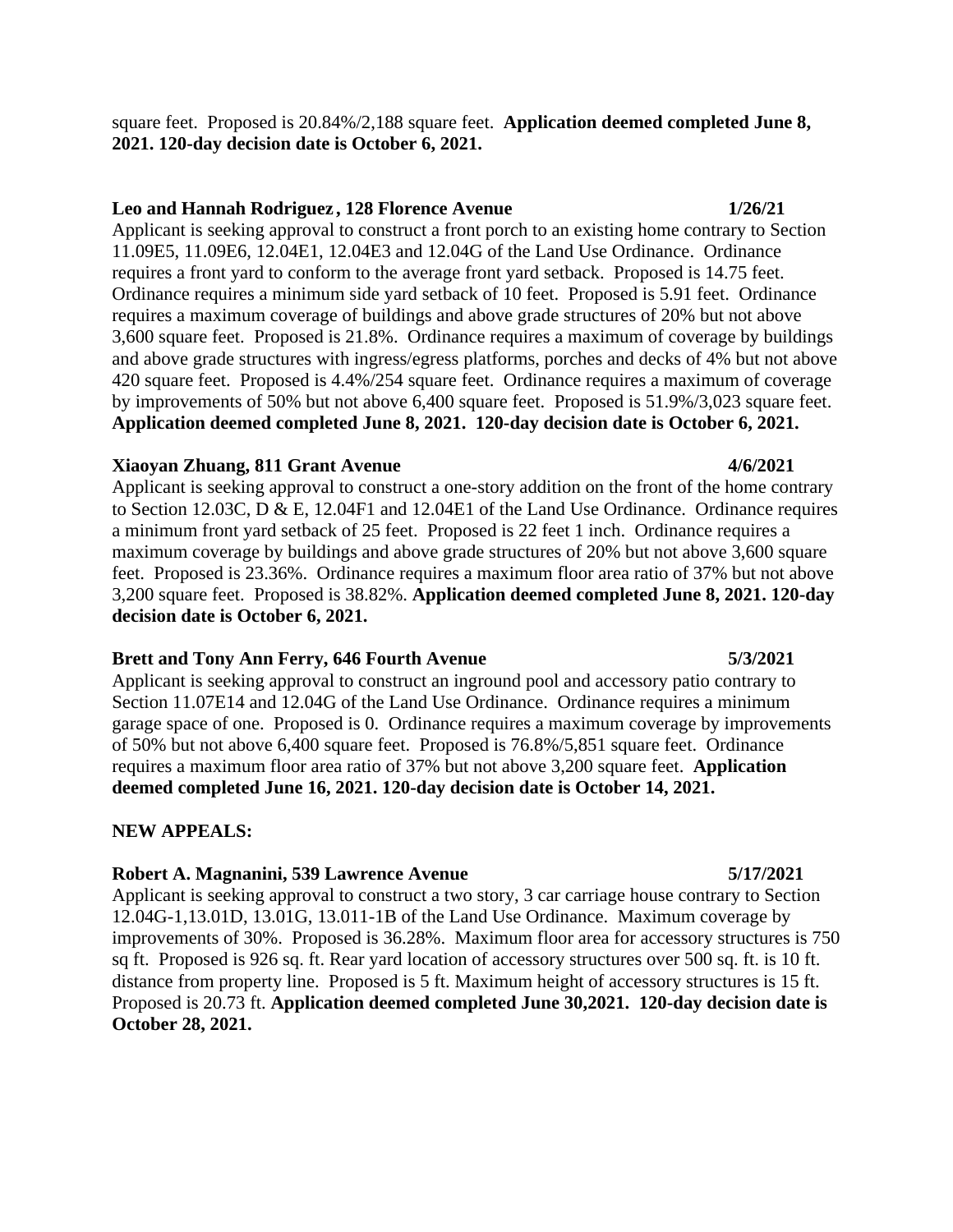## **Leo and Hannah Rodriguez , 128 Florence Avenue 1/26/21**

Applicant is seeking approval to construct a front porch to an existing home contrary to Section 11.09E5, 11.09E6, 12.04E1, 12.04E3 and 12.04G of the Land Use Ordinance. Ordinance requires a front yard to conform to the average front yard setback. Proposed is 14.75 feet. Ordinance requires a minimum side yard setback of 10 feet. Proposed is 5.91 feet. Ordinance requires a maximum coverage of buildings and above grade structures of 20% but not above 3,600 square feet. Proposed is 21.8%. Ordinance requires a maximum of coverage by buildings and above grade structures with ingress/egress platforms, porches and decks of 4% but not above 420 square feet. Proposed is 4.4%/254 square feet. Ordinance requires a maximum of coverage by improvements of 50% but not above 6,400 square feet. Proposed is 51.9%/3,023 square feet. **Application deemed completed June 8, 2021. 120-day decision date is October 6, 2021.**

# **Xiaoyan Zhuang, 811 Grant Avenue 4/6/2021**

Applicant is seeking approval to construct a one-story addition on the front of the home contrary to Section 12.03C, D & E, 12.04F1 and 12.04E1 of the Land Use Ordinance. Ordinance requires a minimum front yard setback of 25 feet. Proposed is 22 feet 1 inch. Ordinance requires a maximum coverage by buildings and above grade structures of 20% but not above 3,600 square feet. Proposed is 23.36%. Ordinance requires a maximum floor area ratio of 37% but not above 3,200 square feet. Proposed is 38.82%. **Application deemed completed June 8, 2021. 120-day decision date is October 6, 2021.**

# **Brett and Tony Ann Ferry, 646 Fourth Avenue 5/3/2021**

Applicant is seeking approval to construct an inground pool and accessory patio contrary to Section 11.07E14 and 12.04G of the Land Use Ordinance. Ordinance requires a minimum garage space of one. Proposed is 0. Ordinance requires a maximum coverage by improvements of 50% but not above 6,400 square feet. Proposed is 76.8%/5,851 square feet. Ordinance requires a maximum floor area ratio of 37% but not above 3,200 square feet. **Application deemed completed June 16, 2021. 120-day decision date is October 14, 2021.**

# **NEW APPEALS:**

# **Robert A. Magnanini, 539 Lawrence Avenue 5/17/2021**

Applicant is seeking approval to construct a two story, 3 car carriage house contrary to Section 12.04G-1,13.01D, 13.01G, 13.011-1B of the Land Use Ordinance. Maximum coverage by improvements of 30%. Proposed is 36.28%. Maximum floor area for accessory structures is 750 sq ft. Proposed is 926 sq. ft. Rear yard location of accessory structures over 500 sq. ft. is 10 ft. distance from property line. Proposed is 5 ft. Maximum height of accessory structures is 15 ft. Proposed is 20.73 ft. **Application deemed completed June 30,2021. 120-day decision date is October 28, 2021.**